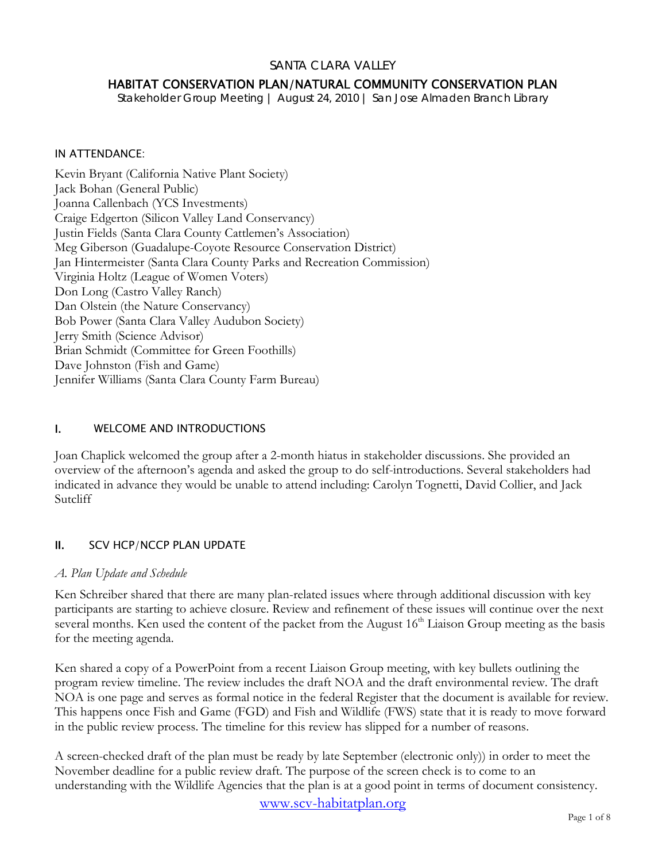### SANTA CLARA VALLEY

## HABITAT CONSERVATION PLAN/NATURAL COMMUNITY CONSERVATION PLAN

*Stakeholder Group Meeting | August 24, 2010 | San Jose Almaden Branch Library* 

#### IN ATTENDANCE:

Kevin Bryant (California Native Plant Society) Jack Bohan (General Public) Joanna Callenbach (YCS Investments) Craige Edgerton (Silicon Valley Land Conservancy) Justin Fields (Santa Clara County Cattlemen's Association) Meg Giberson (Guadalupe-Coyote Resource Conservation District) Jan Hintermeister (Santa Clara County Parks and Recreation Commission) Virginia Holtz (League of Women Voters) Don Long (Castro Valley Ranch) Dan Olstein (the Nature Conservancy) Bob Power (Santa Clara Valley Audubon Society) Jerry Smith (Science Advisor) Brian Schmidt (Committee for Green Foothills) Dave Johnston (Fish and Game) Jennifer Williams (Santa Clara County Farm Bureau)

#### I. WELCOME AND INTRODUCTIONS

Joan Chaplick welcomed the group after a 2-month hiatus in stakeholder discussions. She provided an overview of the afternoon's agenda and asked the group to do self-introductions. Several stakeholders had indicated in advance they would be unable to attend including: Carolyn Tognetti, David Collier, and Jack Sutcliff

### II. SCV HCP/NCCP PLAN UPDATE

#### *A. Plan Update and Schedule*

Ken Schreiber shared that there are many plan-related issues where through additional discussion with key participants are starting to achieve closure. Review and refinement of these issues will continue over the next several months. Ken used the content of the packet from the August 16<sup>th</sup> Liaison Group meeting as the basis for the meeting agenda.

Ken shared a copy of a PowerPoint from a recent Liaison Group meeting, with key bullets outlining the program review timeline. The review includes the draft NOA and the draft environmental review. The draft NOA is one page and serves as formal notice in the federal Register that the document is available for review. This happens once Fish and Game (FGD) and Fish and Wildlife (FWS) state that it is ready to move forward in the public review process. The timeline for this review has slipped for a number of reasons.

A screen-checked draft of the plan must be ready by late September (electronic only)) in order to meet the November deadline for a public review draft. The purpose of the screen check is to come to an understanding with the Wildlife Agencies that the plan is at a good point in terms of document consistency.

www.scv-habitatplan.org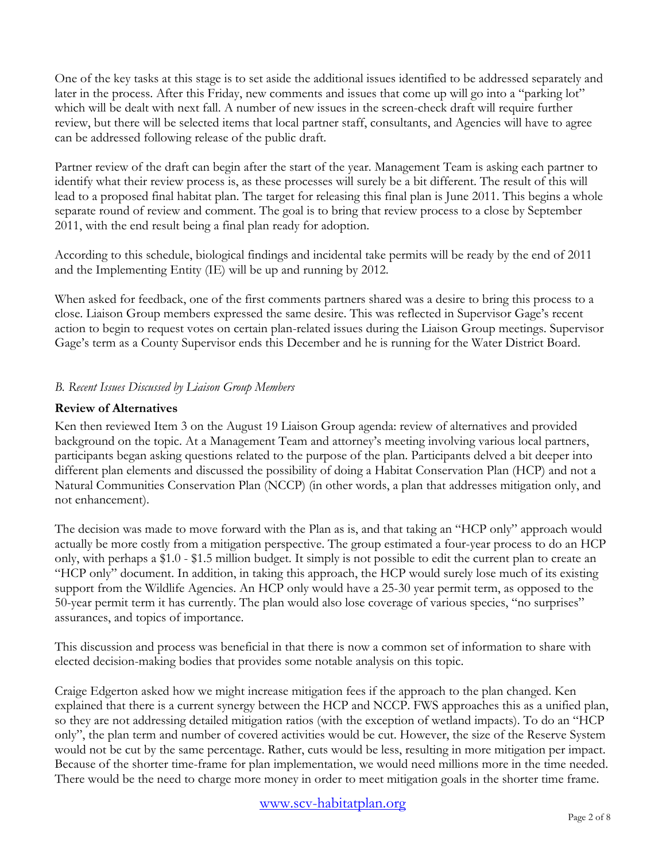One of the key tasks at this stage is to set aside the additional issues identified to be addressed separately and later in the process. After this Friday, new comments and issues that come up will go into a "parking lot" which will be dealt with next fall. A number of new issues in the screen-check draft will require further review, but there will be selected items that local partner staff, consultants, and Agencies will have to agree can be addressed following release of the public draft.

Partner review of the draft can begin after the start of the year. Management Team is asking each partner to identify what their review process is, as these processes will surely be a bit different. The result of this will lead to a proposed final habitat plan. The target for releasing this final plan is June 2011. This begins a whole separate round of review and comment. The goal is to bring that review process to a close by September 2011, with the end result being a final plan ready for adoption.

According to this schedule, biological findings and incidental take permits will be ready by the end of 2011 and the Implementing Entity (IE) will be up and running by 2012.

When asked for feedback, one of the first comments partners shared was a desire to bring this process to a close. Liaison Group members expressed the same desire. This was reflected in Supervisor Gage's recent action to begin to request votes on certain plan-related issues during the Liaison Group meetings. Supervisor Gage's term as a County Supervisor ends this December and he is running for the Water District Board.

# *B. Recent Issues Discussed by Liaison Group Members*

### **Review of Alternatives**

Ken then reviewed Item 3 on the August 19 Liaison Group agenda: review of alternatives and provided background on the topic. At a Management Team and attorney's meeting involving various local partners, participants began asking questions related to the purpose of the plan. Participants delved a bit deeper into different plan elements and discussed the possibility of doing a Habitat Conservation Plan (HCP) and not a Natural Communities Conservation Plan (NCCP) (in other words, a plan that addresses mitigation only, and not enhancement).

The decision was made to move forward with the Plan as is, and that taking an "HCP only" approach would actually be more costly from a mitigation perspective. The group estimated a four-year process to do an HCP only, with perhaps a \$1.0 - \$1.5 million budget. It simply is not possible to edit the current plan to create an "HCP only" document. In addition, in taking this approach, the HCP would surely lose much of its existing support from the Wildlife Agencies. An HCP only would have a 25-30 year permit term, as opposed to the 50-year permit term it has currently. The plan would also lose coverage of various species, "no surprises" assurances, and topics of importance.

This discussion and process was beneficial in that there is now a common set of information to share with elected decision-making bodies that provides some notable analysis on this topic.

Craige Edgerton asked how we might increase mitigation fees if the approach to the plan changed. Ken explained that there is a current synergy between the HCP and NCCP. FWS approaches this as a unified plan, so they are not addressing detailed mitigation ratios (with the exception of wetland impacts). To do an "HCP only", the plan term and number of covered activities would be cut. However, the size of the Reserve System would not be cut by the same percentage. Rather, cuts would be less, resulting in more mitigation per impact. Because of the shorter time-frame for plan implementation, we would need millions more in the time needed. There would be the need to charge more money in order to meet mitigation goals in the shorter time frame.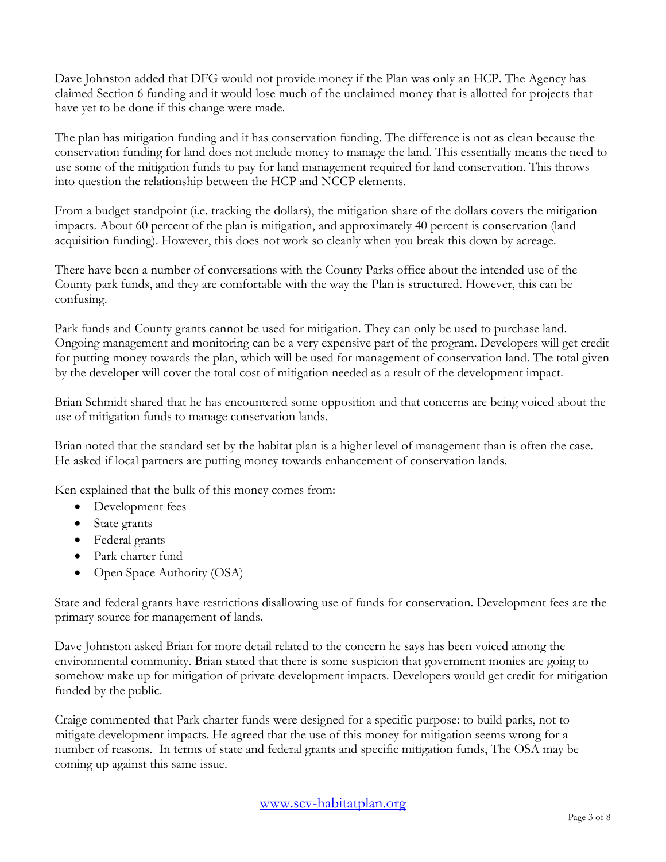Dave Johnston added that DFG would not provide money if the Plan was only an HCP. The Agency has claimed Section 6 funding and it would lose much of the unclaimed money that is allotted for projects that have yet to be done if this change were made.

The plan has mitigation funding and it has conservation funding. The difference is not as clean because the conservation funding for land does not include money to manage the land. This essentially means the need to use some of the mitigation funds to pay for land management required for land conservation. This throws into question the relationship between the HCP and NCCP elements.

From a budget standpoint (i.e. tracking the dollars), the mitigation share of the dollars covers the mitigation impacts. About 60 percent of the plan is mitigation, and approximately 40 percent is conservation (land acquisition funding). However, this does not work so cleanly when you break this down by acreage.

There have been a number of conversations with the County Parks office about the intended use of the County park funds, and they are comfortable with the way the Plan is structured. However, this can be confusing.

Park funds and County grants cannot be used for mitigation. They can only be used to purchase land. Ongoing management and monitoring can be a very expensive part of the program. Developers will get credit for putting money towards the plan, which will be used for management of conservation land. The total given by the developer will cover the total cost of mitigation needed as a result of the development impact.

Brian Schmidt shared that he has encountered some opposition and that concerns are being voiced about the use of mitigation funds to manage conservation lands.

Brian noted that the standard set by the habitat plan is a higher level of management than is often the case. He asked if local partners are putting money towards enhancement of conservation lands.

Ken explained that the bulk of this money comes from:

- Development fees
- State grants
- Federal grants
- Park charter fund
- Open Space Authority (OSA)

State and federal grants have restrictions disallowing use of funds for conservation. Development fees are the primary source for management of lands.

Dave Johnston asked Brian for more detail related to the concern he says has been voiced among the environmental community. Brian stated that there is some suspicion that government monies are going to somehow make up for mitigation of private development impacts. Developers would get credit for mitigation funded by the public.

Craige commented that Park charter funds were designed for a specific purpose: to build parks, not to mitigate development impacts. He agreed that the use of this money for mitigation seems wrong for a number of reasons. In terms of state and federal grants and specific mitigation funds, The OSA may be coming up against this same issue.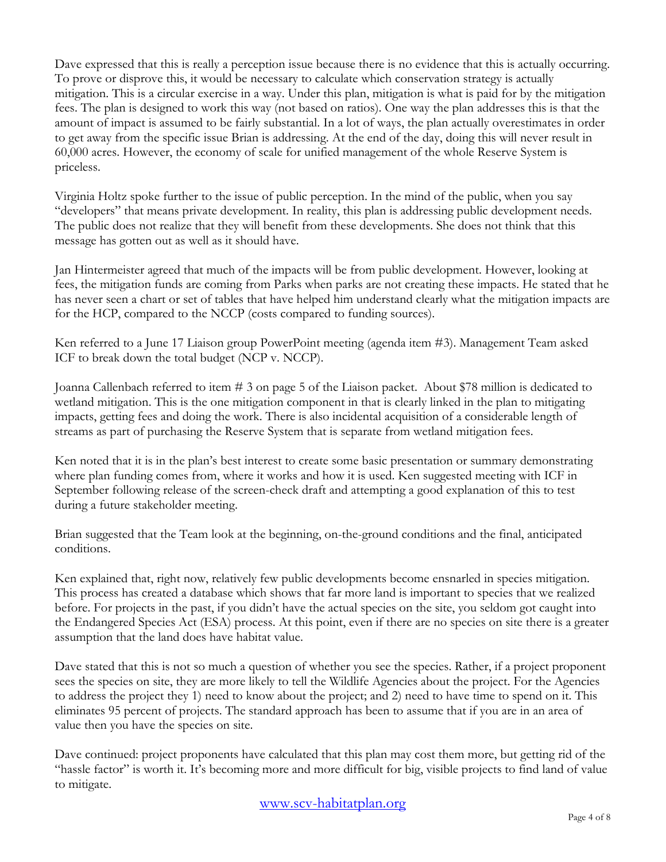Dave expressed that this is really a perception issue because there is no evidence that this is actually occurring. To prove or disprove this, it would be necessary to calculate which conservation strategy is actually mitigation. This is a circular exercise in a way. Under this plan, mitigation is what is paid for by the mitigation fees. The plan is designed to work this way (not based on ratios). One way the plan addresses this is that the amount of impact is assumed to be fairly substantial. In a lot of ways, the plan actually overestimates in order to get away from the specific issue Brian is addressing. At the end of the day, doing this will never result in 60,000 acres. However, the economy of scale for unified management of the whole Reserve System is priceless.

Virginia Holtz spoke further to the issue of public perception. In the mind of the public, when you say "developers" that means private development. In reality, this plan is addressing public development needs. The public does not realize that they will benefit from these developments. She does not think that this message has gotten out as well as it should have.

Jan Hintermeister agreed that much of the impacts will be from public development. However, looking at fees, the mitigation funds are coming from Parks when parks are not creating these impacts. He stated that he has never seen a chart or set of tables that have helped him understand clearly what the mitigation impacts are for the HCP, compared to the NCCP (costs compared to funding sources).

Ken referred to a June 17 Liaison group PowerPoint meeting (agenda item #3). Management Team asked ICF to break down the total budget (NCP v. NCCP).

Joanna Callenbach referred to item # 3 on page 5 of the Liaison packet. About \$78 million is dedicated to wetland mitigation. This is the one mitigation component in that is clearly linked in the plan to mitigating impacts, getting fees and doing the work. There is also incidental acquisition of a considerable length of streams as part of purchasing the Reserve System that is separate from wetland mitigation fees.

Ken noted that it is in the plan's best interest to create some basic presentation or summary demonstrating where plan funding comes from, where it works and how it is used. Ken suggested meeting with ICF in September following release of the screen-check draft and attempting a good explanation of this to test during a future stakeholder meeting.

Brian suggested that the Team look at the beginning, on-the-ground conditions and the final, anticipated conditions.

Ken explained that, right now, relatively few public developments become ensnarled in species mitigation. This process has created a database which shows that far more land is important to species that we realized before. For projects in the past, if you didn't have the actual species on the site, you seldom got caught into the Endangered Species Act (ESA) process. At this point, even if there are no species on site there is a greater assumption that the land does have habitat value.

Dave stated that this is not so much a question of whether you see the species. Rather, if a project proponent sees the species on site, they are more likely to tell the Wildlife Agencies about the project. For the Agencies to address the project they 1) need to know about the project; and 2) need to have time to spend on it. This eliminates 95 percent of projects. The standard approach has been to assume that if you are in an area of value then you have the species on site.

Dave continued: project proponents have calculated that this plan may cost them more, but getting rid of the "hassle factor" is worth it. It's becoming more and more difficult for big, visible projects to find land of value to mitigate.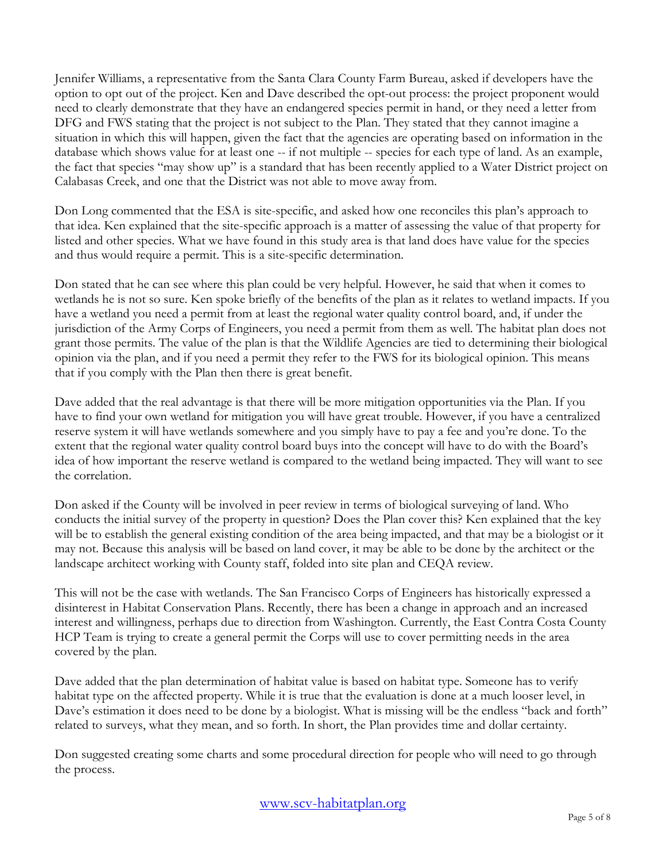Jennifer Williams, a representative from the Santa Clara County Farm Bureau, asked if developers have the option to opt out of the project. Ken and Dave described the opt-out process: the project proponent would need to clearly demonstrate that they have an endangered species permit in hand, or they need a letter from DFG and FWS stating that the project is not subject to the Plan. They stated that they cannot imagine a situation in which this will happen, given the fact that the agencies are operating based on information in the database which shows value for at least one -- if not multiple -- species for each type of land. As an example, the fact that species "may show up" is a standard that has been recently applied to a Water District project on Calabasas Creek, and one that the District was not able to move away from.

Don Long commented that the ESA is site-specific, and asked how one reconciles this plan's approach to that idea. Ken explained that the site-specific approach is a matter of assessing the value of that property for listed and other species. What we have found in this study area is that land does have value for the species and thus would require a permit. This is a site-specific determination.

Don stated that he can see where this plan could be very helpful. However, he said that when it comes to wetlands he is not so sure. Ken spoke briefly of the benefits of the plan as it relates to wetland impacts. If you have a wetland you need a permit from at least the regional water quality control board, and, if under the jurisdiction of the Army Corps of Engineers, you need a permit from them as well. The habitat plan does not grant those permits. The value of the plan is that the Wildlife Agencies are tied to determining their biological opinion via the plan, and if you need a permit they refer to the FWS for its biological opinion. This means that if you comply with the Plan then there is great benefit.

Dave added that the real advantage is that there will be more mitigation opportunities via the Plan. If you have to find your own wetland for mitigation you will have great trouble. However, if you have a centralized reserve system it will have wetlands somewhere and you simply have to pay a fee and you're done. To the extent that the regional water quality control board buys into the concept will have to do with the Board's idea of how important the reserve wetland is compared to the wetland being impacted. They will want to see the correlation.

Don asked if the County will be involved in peer review in terms of biological surveying of land. Who conducts the initial survey of the property in question? Does the Plan cover this? Ken explained that the key will be to establish the general existing condition of the area being impacted, and that may be a biologist or it may not. Because this analysis will be based on land cover, it may be able to be done by the architect or the landscape architect working with County staff, folded into site plan and CEQA review.

This will not be the case with wetlands. The San Francisco Corps of Engineers has historically expressed a disinterest in Habitat Conservation Plans. Recently, there has been a change in approach and an increased interest and willingness, perhaps due to direction from Washington. Currently, the East Contra Costa County HCP Team is trying to create a general permit the Corps will use to cover permitting needs in the area covered by the plan.

Dave added that the plan determination of habitat value is based on habitat type. Someone has to verify habitat type on the affected property. While it is true that the evaluation is done at a much looser level, in Dave's estimation it does need to be done by a biologist. What is missing will be the endless "back and forth" related to surveys, what they mean, and so forth. In short, the Plan provides time and dollar certainty.

Don suggested creating some charts and some procedural direction for people who will need to go through the process.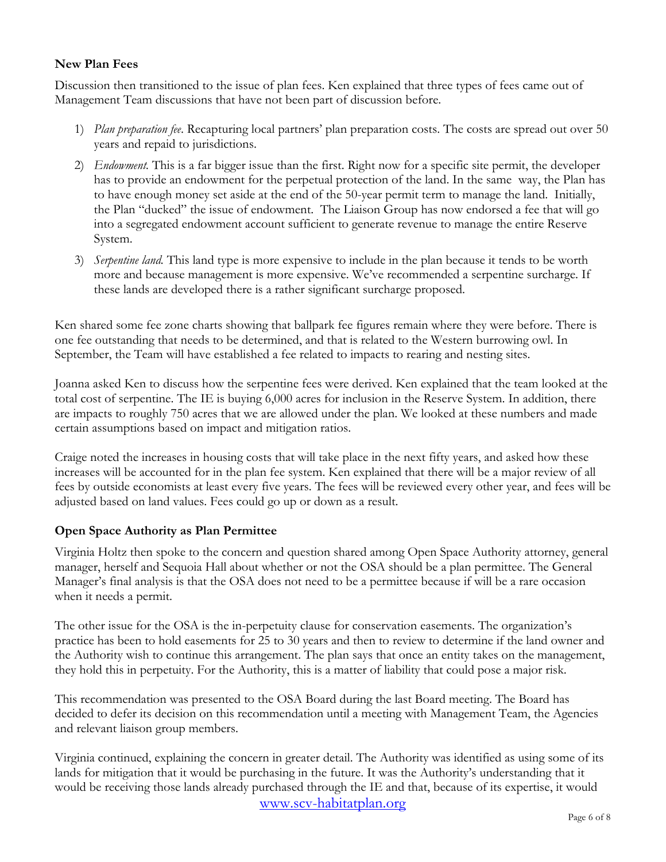## **New Plan Fees**

Discussion then transitioned to the issue of plan fees. Ken explained that three types of fees came out of Management Team discussions that have not been part of discussion before.

- 1) *Plan preparation fee*. Recapturing local partners' plan preparation costs. The costs are spread out over 50 years and repaid to jurisdictions.
- 2) *Endowment.* This is a far bigger issue than the first. Right now for a specific site permit, the developer has to provide an endowment for the perpetual protection of the land. In the same way, the Plan has to have enough money set aside at the end of the 50-year permit term to manage the land. Initially, the Plan "ducked" the issue of endowment. The Liaison Group has now endorsed a fee that will go into a segregated endowment account sufficient to generate revenue to manage the entire Reserve System.
- 3) *Serpentine land.* This land type is more expensive to include in the plan because it tends to be worth more and because management is more expensive. We've recommended a serpentine surcharge. If these lands are developed there is a rather significant surcharge proposed.

Ken shared some fee zone charts showing that ballpark fee figures remain where they were before. There is one fee outstanding that needs to be determined, and that is related to the Western burrowing owl. In September, the Team will have established a fee related to impacts to rearing and nesting sites.

Joanna asked Ken to discuss how the serpentine fees were derived. Ken explained that the team looked at the total cost of serpentine. The IE is buying 6,000 acres for inclusion in the Reserve System. In addition, there are impacts to roughly 750 acres that we are allowed under the plan. We looked at these numbers and made certain assumptions based on impact and mitigation ratios.

Craige noted the increases in housing costs that will take place in the next fifty years, and asked how these increases will be accounted for in the plan fee system. Ken explained that there will be a major review of all fees by outside economists at least every five years. The fees will be reviewed every other year, and fees will be adjusted based on land values. Fees could go up or down as a result.

### **Open Space Authority as Plan Permittee**

Virginia Holtz then spoke to the concern and question shared among Open Space Authority attorney, general manager, herself and Sequoia Hall about whether or not the OSA should be a plan permittee. The General Manager's final analysis is that the OSA does not need to be a permittee because if will be a rare occasion when it needs a permit.

The other issue for the OSA is the in-perpetuity clause for conservation easements. The organization's practice has been to hold easements for 25 to 30 years and then to review to determine if the land owner and the Authority wish to continue this arrangement. The plan says that once an entity takes on the management, they hold this in perpetuity. For the Authority, this is a matter of liability that could pose a major risk.

This recommendation was presented to the OSA Board during the last Board meeting. The Board has decided to defer its decision on this recommendation until a meeting with Management Team, the Agencies and relevant liaison group members.

Virginia continued, explaining the concern in greater detail. The Authority was identified as using some of its lands for mitigation that it would be purchasing in the future. It was the Authority's understanding that it would be receiving those lands already purchased through the IE and that, because of its expertise, it would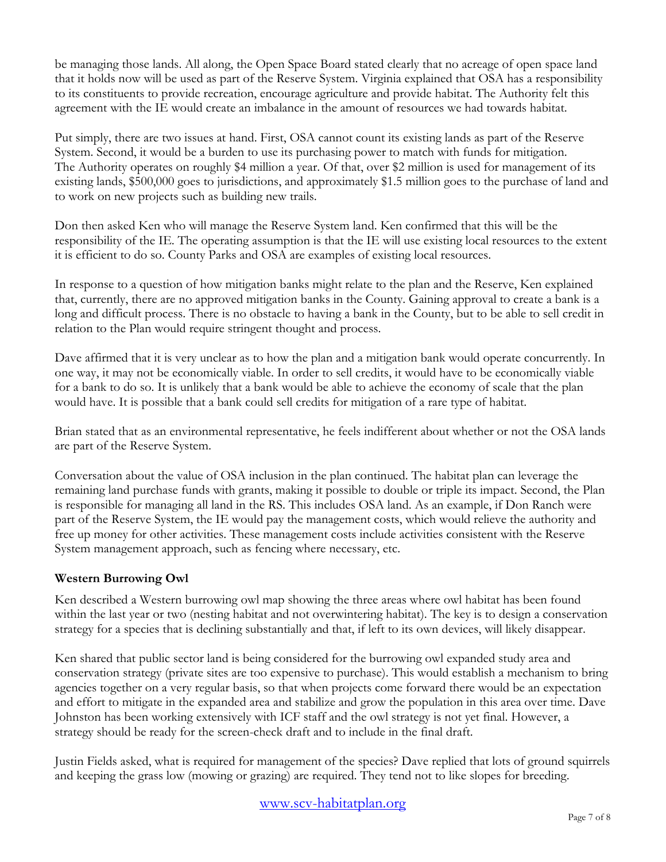be managing those lands. All along, the Open Space Board stated clearly that no acreage of open space land that it holds now will be used as part of the Reserve System. Virginia explained that OSA has a responsibility to its constituents to provide recreation, encourage agriculture and provide habitat. The Authority felt this agreement with the IE would create an imbalance in the amount of resources we had towards habitat.

Put simply, there are two issues at hand. First, OSA cannot count its existing lands as part of the Reserve System. Second, it would be a burden to use its purchasing power to match with funds for mitigation. The Authority operates on roughly \$4 million a year. Of that, over \$2 million is used for management of its existing lands, \$500,000 goes to jurisdictions, and approximately \$1.5 million goes to the purchase of land and to work on new projects such as building new trails.

Don then asked Ken who will manage the Reserve System land. Ken confirmed that this will be the responsibility of the IE. The operating assumption is that the IE will use existing local resources to the extent it is efficient to do so. County Parks and OSA are examples of existing local resources.

In response to a question of how mitigation banks might relate to the plan and the Reserve, Ken explained that, currently, there are no approved mitigation banks in the County. Gaining approval to create a bank is a long and difficult process. There is no obstacle to having a bank in the County, but to be able to sell credit in relation to the Plan would require stringent thought and process.

Dave affirmed that it is very unclear as to how the plan and a mitigation bank would operate concurrently. In one way, it may not be economically viable. In order to sell credits, it would have to be economically viable for a bank to do so. It is unlikely that a bank would be able to achieve the economy of scale that the plan would have. It is possible that a bank could sell credits for mitigation of a rare type of habitat.

Brian stated that as an environmental representative, he feels indifferent about whether or not the OSA lands are part of the Reserve System.

Conversation about the value of OSA inclusion in the plan continued. The habitat plan can leverage the remaining land purchase funds with grants, making it possible to double or triple its impact. Second, the Plan is responsible for managing all land in the RS. This includes OSA land. As an example, if Don Ranch were part of the Reserve System, the IE would pay the management costs, which would relieve the authority and free up money for other activities. These management costs include activities consistent with the Reserve System management approach, such as fencing where necessary, etc.

# **Western Burrowing Owl**

Ken described a Western burrowing owl map showing the three areas where owl habitat has been found within the last year or two (nesting habitat and not overwintering habitat). The key is to design a conservation strategy for a species that is declining substantially and that, if left to its own devices, will likely disappear.

Ken shared that public sector land is being considered for the burrowing owl expanded study area and conservation strategy (private sites are too expensive to purchase). This would establish a mechanism to bring agencies together on a very regular basis, so that when projects come forward there would be an expectation and effort to mitigate in the expanded area and stabilize and grow the population in this area over time. Dave Johnston has been working extensively with ICF staff and the owl strategy is not yet final. However, a strategy should be ready for the screen-check draft and to include in the final draft.

Justin Fields asked, what is required for management of the species? Dave replied that lots of ground squirrels and keeping the grass low (mowing or grazing) are required. They tend not to like slopes for breeding.